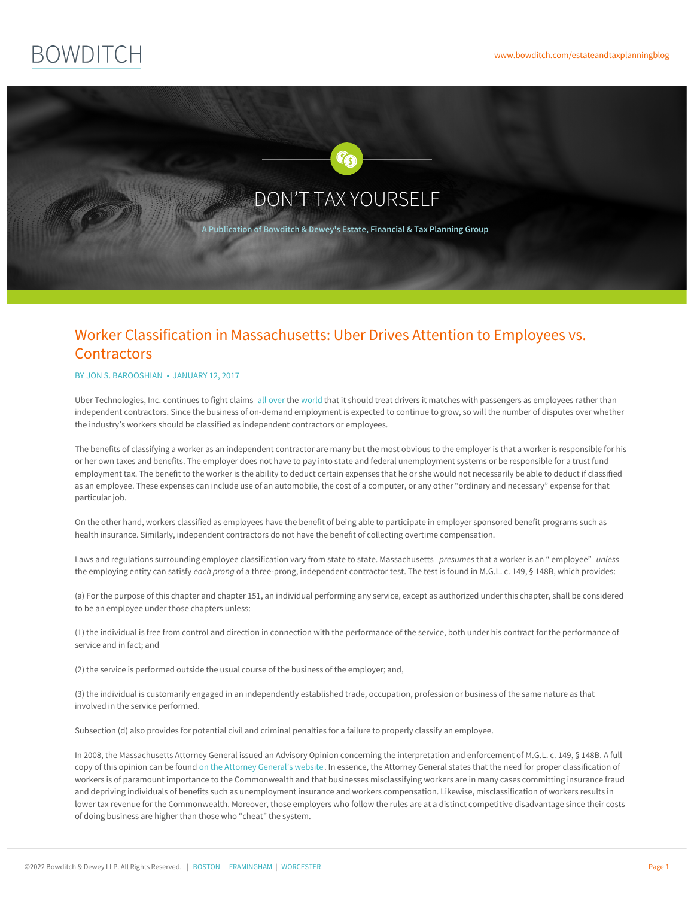



## Worker Classification in Massachusetts: Uber Drives Attention to Employees vs. **Contractors**

## BY JON S. [BAROOSHIAN](https://www.bowditch.com/attorney/jon-barooshian) • JANUARY 12, 2017

Uber Technologies, Inc. continues to fight claims [all](http://www.nytimes.com/2016/10/13/business/state-rules-2-former-uber-drivers-eligible-for-jobless-payments.html?_r=0) [over](http://www.bbc.com/news/business-37802386) the [world](http://blogs.wsj.com/digits/2015/09/10/another-uber-driver-in-california-ruled-an-employee-not-contractor/) that it should treat drivers it matches with passengers as employees rather than independent contractors. Since the business of on-demand employment is expected to continue to grow, so will the number of disputes over whether the industry's workers should be classified as independent contractors or employees.

The benefits of classifying a worker as an independent contractor are many but the most obvious to the employer is that a worker is responsible for his or her own taxes and benefits. The employer does not have to pay into state and federal unemployment systems or be responsible for a trust fund employment tax. The benefit to the worker is the ability to deduct certain expenses that he or she would not necessarily be able to deduct if classified as an employee. These expenses can include use of an automobile, the cost of a computer, or any other "ordinary and necessary" expense for that particular job.

On the other hand, workers classified as employees have the benefit of being able to participate in employer sponsored benefit programs such as health insurance. Similarly, independent contractors do not have the benefit of collecting overtime compensation.

Laws and regulations surrounding employee classification vary from state to state. Massachusetts *presumes* that a worker is an " employee" *unless* the employing entity can satisfy *each prong* of a three-prong, independent contractor test. The test is found in M.G.L. c. 149, § 148B, which provides:

(a) For the purpose of this chapter and chapter 151, an individual performing any service, except as authorized under this chapter, shall be considered to be an employee under those chapters unless:

(1) the individual is free from control and direction in connection with the performance of the service, both under his contract for the performance of service and in fact; and

(2) the service is performed outside the usual course of the business of the employer; and,

(3) the individual is customarily engaged in an independently established trade, occupation, profession or business of the same nature as that involved in the service performed.

Subsection (d) also provides for potential civil and criminal penalties for a failure to properly classify an employee.

In 2008, the Massachusetts Attorney General issued an Advisory Opinion concerning the interpretation and enforcement of M.G.L. c. 149, § 148B. A full copy of this opinion can be found on the Attorney [General's](http://www.mass.gov/ago/docs/workplace/independent-contractor-advisory.pdf) website. In essence, the Attorney General states that the need for proper classification of workers is of paramount import[ance](https://www.bowditch.com/?p=174) to the [Commonw](https://www.bowditch.com/?p=176)ealth [and](https://www.bowditch.com/?p=175) that businesses misclassifying workers are in many cases committing insurance fraud and depriving individuals of benefits such as unemployment insurance and workers compensation. Likewise, misclassification of workers results in lower tax revenue for the Commonwealth. Moreover, those employers who follow the rules are at a distinct competitive disadvantage since their costs of doing business are higher than those who "cheat" the system.